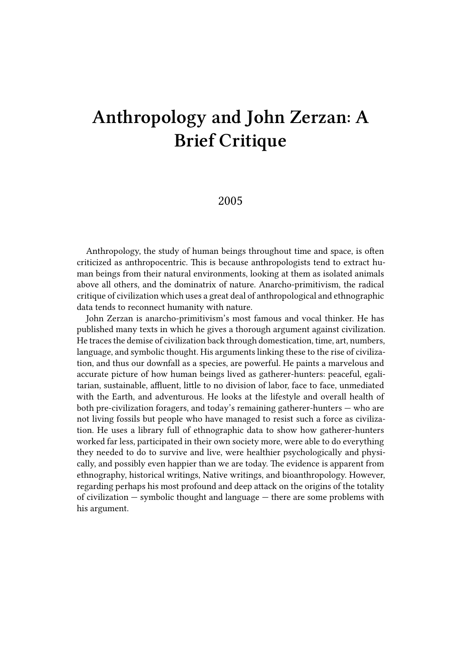## **Anthropology and John Zerzan: A Brief Critique**

## 2005

Anthropology, the study of human beings throughout time and space, is often criticized as anthropocentric. This is because anthropologists tend to extract human beings from their natural environments, looking at them as isolated animals above all others, and the dominatrix of nature. Anarcho-primitivism, the radical critique of civilization which uses a great deal of anthropological and ethnographic data tends to reconnect humanity with nature.

John Zerzan is anarcho-primitivism's most famous and vocal thinker. He has published many texts in which he gives a thorough argument against civilization. He traces the demise of civilization back through domestication, time, art, numbers, language, and symbolic thought. His arguments linking these to the rise of civilization, and thus our downfall as a species, are powerful. He paints a marvelous and accurate picture of how human beings lived as gatherer-hunters: peaceful, egalitarian, sustainable, affluent, little to no division of labor, face to face, unmediated with the Earth, and adventurous. He looks at the lifestyle and overall health of both pre-civilization foragers, and today's remaining gatherer-hunters — who are not living fossils but people who have managed to resist such a force as civilization. He uses a library full of ethnographic data to show how gatherer-hunters worked far less, participated in their own society more, were able to do everything they needed to do to survive and live, were healthier psychologically and physically, and possibly even happier than we are today. The evidence is apparent from ethnography, historical writings, Native writings, and bioanthropology. However, regarding perhaps his most profound and deep attack on the origins of the totality of civilization — symbolic thought and language — there are some problems with his argument.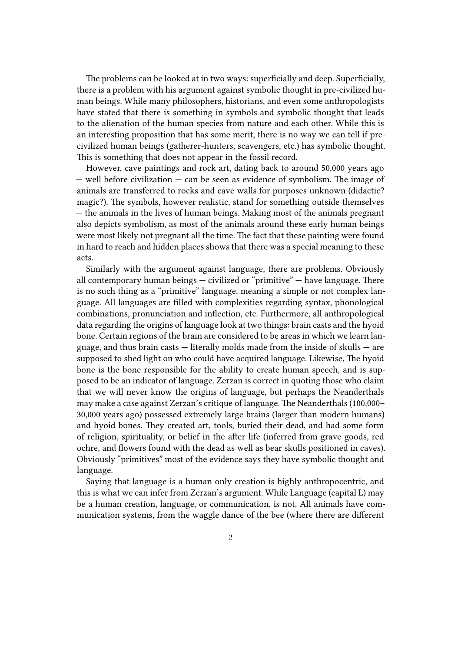The problems can be looked at in two ways: superficially and deep. Superficially, there is a problem with his argument against symbolic thought in pre-civilized human beings. While many philosophers, historians, and even some anthropologists have stated that there is something in symbols and symbolic thought that leads to the alienation of the human species from nature and each other. While this is an interesting proposition that has some merit, there is no way we can tell if precivilized human beings (gatherer-hunters, scavengers, etc.) has symbolic thought. This is something that does not appear in the fossil record.

However, cave paintings and rock art, dating back to around 50,000 years ago  $-$  well before civilization  $-$  can be seen as evidence of symbolism. The image of animals are transferred to rocks and cave walls for purposes unknown (didactic? magic?). The symbols, however realistic, stand for something outside themselves — the animals in the lives of human beings. Making most of the animals pregnant also depicts symbolism, as most of the animals around these early human beings were most likely not pregnant all the time. The fact that these painting were found in hard to reach and hidden places shows that there was a special meaning to these acts.

Similarly with the argument against language, there are problems. Obviously all contemporary human beings — civilized or "primitive" — have language. There is no such thing as a "primitive" language, meaning a simple or not complex language. All languages are filled with complexities regarding syntax, phonological combinations, pronunciation and inflection, etc. Furthermore, all anthropological data regarding the origins of language look at two things: brain casts and the hyoid bone. Certain regions of the brain are considered to be areas in which we learn language, and thus brain casts — literally molds made from the inside of skulls — are supposed to shed light on who could have acquired language. Likewise, The hyoid bone is the bone responsible for the ability to create human speech, and is supposed to be an indicator of language. Zerzan is correct in quoting those who claim that we will never know the origins of language, but perhaps the Neanderthals may make a case against Zerzan's critique of language. The Neanderthals (100,000– 30,000 years ago) possessed extremely large brains (larger than modern humans) and hyoid bones. They created art, tools, buried their dead, and had some form of religion, spirituality, or belief in the after life (inferred from grave goods, red ochre, and flowers found with the dead as well as bear skulls positioned in caves). Obviously "primitives" most of the evidence says they have symbolic thought and language.

Saying that language is a human only creation is highly anthropocentric, and this is what we can infer from Zerzan's argument. While Language (capital L) may be a human creation, language, or communication, is not. All animals have communication systems, from the waggle dance of the bee (where there are different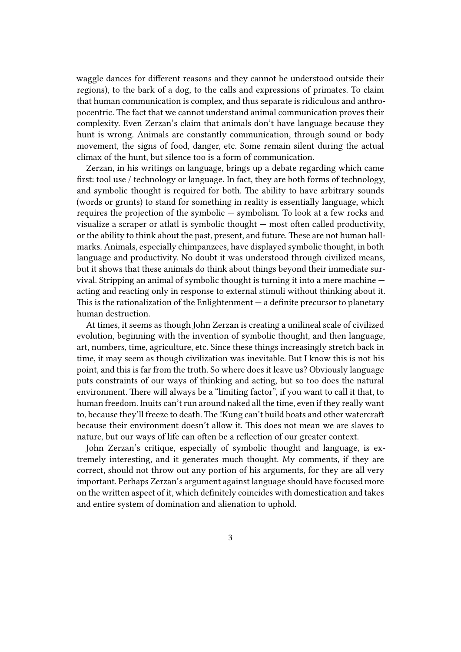waggle dances for different reasons and they cannot be understood outside their regions), to the bark of a dog, to the calls and expressions of primates. To claim that human communication is complex, and thus separate is ridiculous and anthropocentric. The fact that we cannot understand animal communication proves their complexity. Even Zerzan's claim that animals don't have language because they hunt is wrong. Animals are constantly communication, through sound or body movement, the signs of food, danger, etc. Some remain silent during the actual climax of the hunt, but silence too is a form of communication.

Zerzan, in his writings on language, brings up a debate regarding which came first: tool use / technology or language. In fact, they are both forms of technology, and symbolic thought is required for both. The ability to have arbitrary sounds (words or grunts) to stand for something in reality is essentially language, which requires the projection of the symbolic — symbolism. To look at a few rocks and visualize a scraper or atlatl is symbolic thought — most often called productivity, or the ability to think about the past, present, and future. These are not human hallmarks. Animals, especially chimpanzees, have displayed symbolic thought, in both language and productivity. No doubt it was understood through civilized means, but it shows that these animals do think about things beyond their immediate survival. Stripping an animal of symbolic thought is turning it into a mere machine acting and reacting only in response to external stimuli without thinking about it. This is the rationalization of the Enlightenment  $-$  a definite precursor to planetary human destruction.

At times, it seems as though John Zerzan is creating a unilineal scale of civilized evolution, beginning with the invention of symbolic thought, and then language, art, numbers, time, agriculture, etc. Since these things increasingly stretch back in time, it may seem as though civilization was inevitable. But I know this is not his point, and this is far from the truth. So where does it leave us? Obviously language puts constraints of our ways of thinking and acting, but so too does the natural environment. There will always be a "limiting factor", if you want to call it that, to human freedom. Inuits can't run around naked all the time, even if they really want to, because they'll freeze to death. The !Kung can't build boats and other watercraft because their environment doesn't allow it. This does not mean we are slaves to nature, but our ways of life can often be a reflection of our greater context.

John Zerzan's critique, especially of symbolic thought and language, is extremely interesting, and it generates much thought. My comments, if they are correct, should not throw out any portion of his arguments, for they are all very important. Perhaps Zerzan's argument against language should have focused more on the written aspect of it, which definitely coincides with domestication and takes and entire system of domination and alienation to uphold.